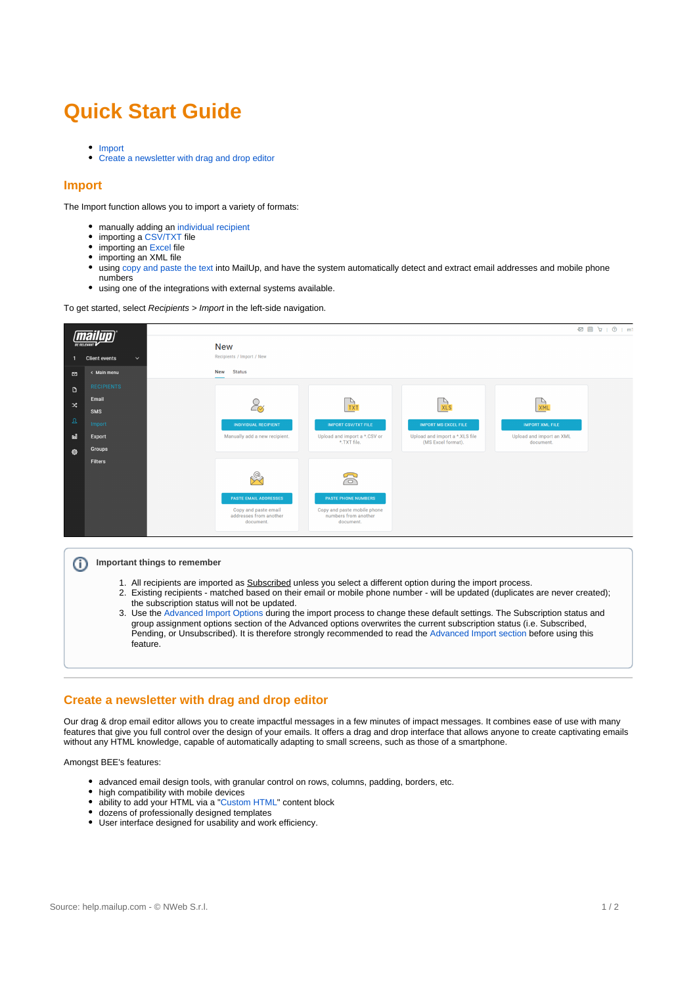## **Quick Start Guide**

- [Import](#page-0-0)
- [Create a newsletter with drag and drop editor](#page-0-1)

## <span id="page-0-0"></span>**Import**

The Import function allows you to import a variety of formats:

- manually adding an [individual recipient](http://help.mailup.com/display/MUG/Individual+recipient)
- importing a [CSV/TXT](http://help.mailup.com/display/MUG/CSV) file  $\bullet$
- importing an [Excel](http://help.mailup.com/display/MUG/Excel) file
- importing an XML file
- $\bullet$ using [copy and paste the text](http://help.mailup.com/pages/viewpage.action?pageId=26116631) into MailUp, and have the system automatically detect and extract email addresses and mobile phone numbers
- using one of the integrations with external systems available.

To get started, select Recipients > Import in the left-side navigation.



## **Important things to remember** ⋒

- 1. All recipients are imported as **Subscribed** unless you select a different option during the import process.
- 2. Existing recipients matched based on their email or mobile phone number will be updated (duplicates are never created); the subscription status will not be updated.
- 3. Use the [Advanced Import Options](http://help.mailup.com/display/MUG/Import#Import-advimp) during the import process to change these default settings. The Subscription status and group assignment options section of the Advanced options overwrites the current subscription status (i.e. Subscribed, Pending, or Unsubscribed). It is therefore strongly recommended to read the [Advanced Import section](http://help.mailup.com/display/MUG/Import#Import-advimp) before using this feature.

## <span id="page-0-1"></span>**Create a newsletter with drag and drop editor**

Our drag & drop email editor allows you to create impactful messages in a few minutes of impact messages. It combines ease of use with many features that give you full control over the design of your emails. It offers a drag and drop interface that allows anyone to create captivating emails without any HTML knowledge, capable of automatically adapting to small screens, such as those of a smartphone.

Amongst BEE's features:

- advanced email design tools, with granular control on rows, columns, padding, borders, etc.
- $\bullet$ high compatibility with mobile devices
- ability to add your HTML via a ["Custom HTML"](https://help.mailup.com/display/MUG/Using+the+HTML+block+in+BEE) content block  $\bullet$
- dozens of professionally designed templates
- User interface designed for usability and work efficiency.